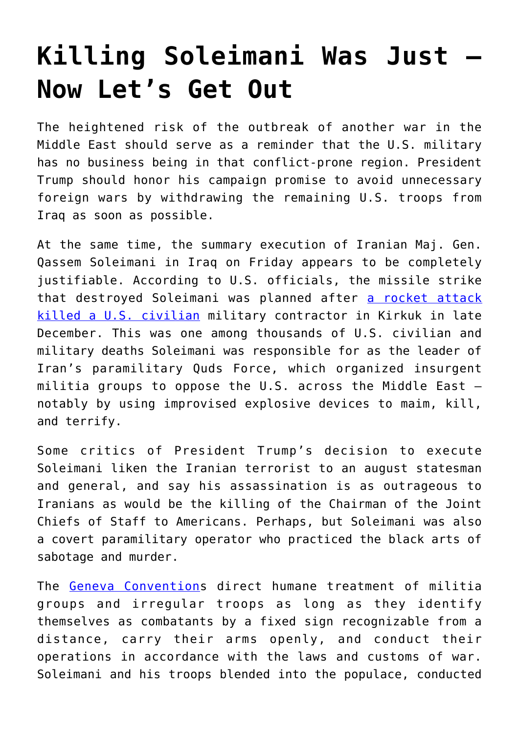## **[Killing Soleimani Was Just –](https://intellectualtakeout.org/2020/01/killing-soleimani-was-just-now-lets-get-out/) [Now Let's Get Out](https://intellectualtakeout.org/2020/01/killing-soleimani-was-just-now-lets-get-out/)**

The heightened risk of the outbreak of another war in the Middle East should serve as a reminder that the U.S. military has no business being in that conflict-prone region. President Trump should honor his campaign promise to avoid unnecessary foreign wars by withdrawing the remaining U.S. troops from Iraq as soon as possible.

At the same time, the summary execution of Iranian Maj. Gen. Qassem Soleimani in Iraq on Friday appears to be completely justifiable. According to U.S. officials, the missile strike that destroyed Soleimani was planned after [a rocket attack](https://www.cbsnews.com/video/operation-against-soleimani-was-set-in-motion-before-embassy-attack/) [killed a U.S. civilian](https://www.cbsnews.com/video/operation-against-soleimani-was-set-in-motion-before-embassy-attack/) military contractor in Kirkuk in late December. This was one among thousands of U.S. civilian and military deaths Soleimani was responsible for as the leader of Iran's paramilitary Quds Force, which organized insurgent militia groups to oppose the U.S. across the Middle East – notably by using improvised explosive devices to maim, kill, and terrify.

Some critics of President Trump's decision to execute Soleimani liken the Iranian terrorist to an august statesman and general, and say his assassination is as outrageous to Iranians as would be the killing of the Chairman of the Joint Chiefs of Staff to Americans. Perhaps, but Soleimani was also a covert paramilitary operator who practiced the black arts of sabotage and murder.

The [Geneva Convention](https://ihl-databases.icrc.org/ihl/WebART/375-590007?OpenDocument)s direct humane treatment of militia groups and irregular troops as long as they identify themselves as combatants by a fixed sign recognizable from a distance, carry their arms openly, and conduct their operations in accordance with the laws and customs of war. Soleimani and his troops blended into the populace, conducted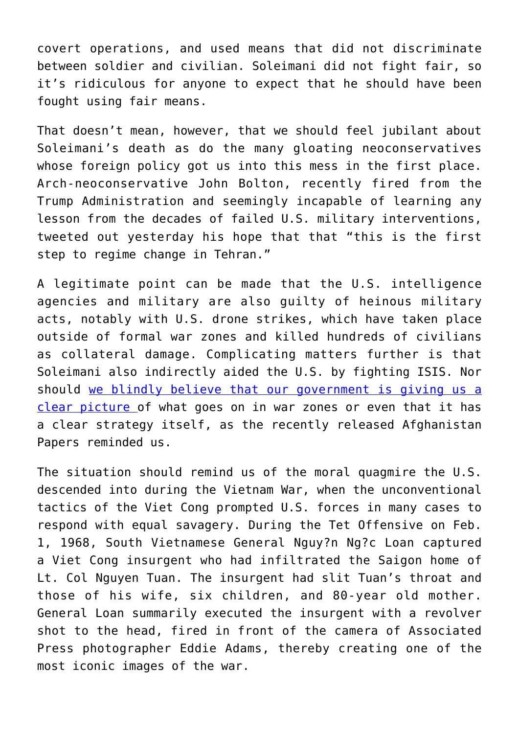covert operations, and used means that did not discriminate between soldier and civilian. Soleimani did not fight fair, so it's ridiculous for anyone to expect that he should have been fought using fair means.

That doesn't mean, however, that we should feel jubilant about Soleimani's death as do the many gloating neoconservatives whose foreign policy got us into this mess in the first place. Arch-neoconservative John Bolton, recently fired from the Trump Administration and seemingly incapable of learning any lesson from the decades of failed U.S. military interventions, tweeted out yesterday his hope that that "this is the first step to regime change in Tehran."

A legitimate point can be made that the U.S. intelligence agencies and military are also guilty of heinous military acts, notably with U.S. drone strikes, which have taken place outside of formal war zones and killed hundreds of civilians as collateral damage. Complicating matters further is that Soleimani also indirectly aided the U.S. by fighting ISIS. Nor should [we blindly believe that our government is giving us a](https://www.chroniclesmagazine.org/2020/January/45/1/magazine/article/10847276/) [clear picture o](https://www.chroniclesmagazine.org/2020/January/45/1/magazine/article/10847276/)f what goes on in war zones or even that it has a clear strategy itself, as the recently released Afghanistan Papers reminded us.

The situation should remind us of the moral quagmire the U.S. descended into during the Vietnam War, when the unconventional tactics of the Viet Cong prompted U.S. forces in many cases to respond with equal savagery. During the Tet Offensive on Feb. 1, 1968, South Vietnamese General Nguy?n Ng?c Loan captured a Viet Cong insurgent who had infiltrated the Saigon home of Lt. Col Nguyen Tuan. The insurgent had slit Tuan's throat and those of his wife, six children, and 80-year old mother. General Loan summarily executed the insurgent with a revolver shot to the head, fired in front of the camera of Associated Press photographer Eddie Adams, thereby creating one of the most iconic images of the war.